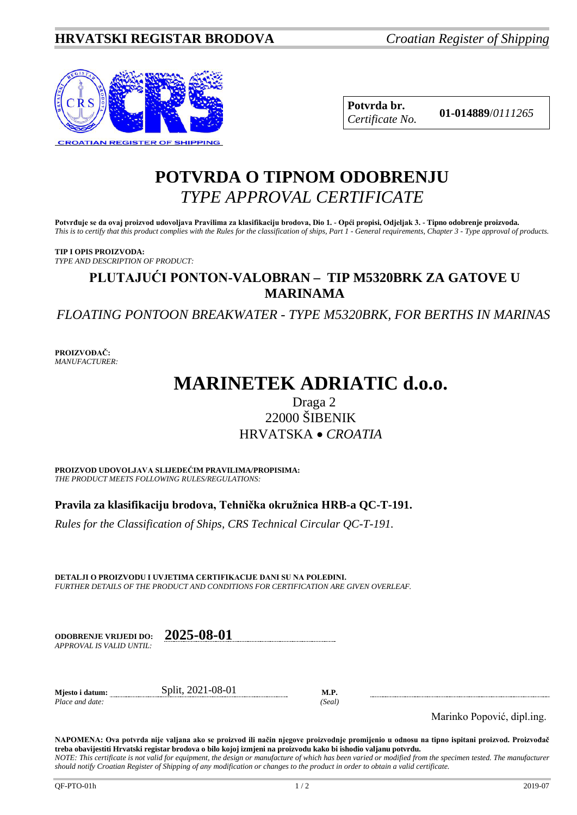

**Potvrda br. 01-014889**/*<sup>0111265</sup> Certificate No.*

## **POTVRDA O TIPNOM ODOBRENJU** *TYPE APPROVAL CERTIFICATE*

**Potvrđuje se da ovaj proizvod udovoljava Pravilima za klasifikaciju brodova, Dio 1. - Opći propisi, Odjeljak 3. - Tipno odobrenje proizvoda.** *This is to certify that this product complies with the Rules for the classification of ships, Part 1 - General requirements, Chapter 3 - Type approval of products.*

**TIP I OPIS PROIZVODA:** *TYPE AND DESCRIPTION OF PRODUCT:*

## **PLUTAJUĆI PONTON-VALOBRAN – TIP M5320BRK ZA GATOVE U MARINAMA**

*FLOATING PONTOON BREAKWATER - TYPE M5320BRK, FOR BERTHS IN MARINAS*

**PROIZVOĐAČ:** *MANUFACTURER:*

# **MARINETEK ADRIATIC d.o.o.**

## Draga 2 22000 ŠIBENIK HRVATSKA • *CROATIA*

**PROIZVOD UDOVOLJAVA SLIJEDEĆIM PRAVILIMA/PROPISIMA:** *THE PRODUCT MEETS FOLLOWING RULES/REGULATIONS:*

**Pravila za klasifikaciju brodova, Tehnička okružnica HRB-a QC-T-191.** 

*Rules for the Classification of Ships, CRS Technical Circular QC-T-191.*

**DETALJI O PROIZVODU I UVJETIMA CERTIFIKACIJE DANI SU NA POLEĐINI.** *FURTHER DETAILS OF THE PRODUCT AND CONDITIONS FOR CERTIFICATION ARE GIVEN OVERLEAF.*

| <b>ODOBRENJE VRLJEDI DO:</b> | 2025-08-01 |
|------------------------------|------------|
| APPROVAL IS VALID UNTIL .    |            |

*APPROVAL IS VALID UNTIL:*

*Place and date: (Seal)*

**Mjesto i datum:** Split, 2021-08-01 **M.P.**

Marinko Popović, dipl.ing.

**NAPOMENA: Ova potvrda nije valjana ako se proizvod ili način njegove proizvodnje promijenio u odnosu na tipno ispitani proizvod. Proizvođač treba obavijestiti Hrvatski registar brodova o bilo kojoj izmjeni na proizvodu kako bi ishodio valjanu potvrdu.** *NOTE: This certificate is not valid for equipment, the design or manufacture of which has been varied or modified from the specimen tested. The manufacturer* 

*should notify Croatian Register of Shipping of any modification or changes to the product in order to obtain a valid certificate.*